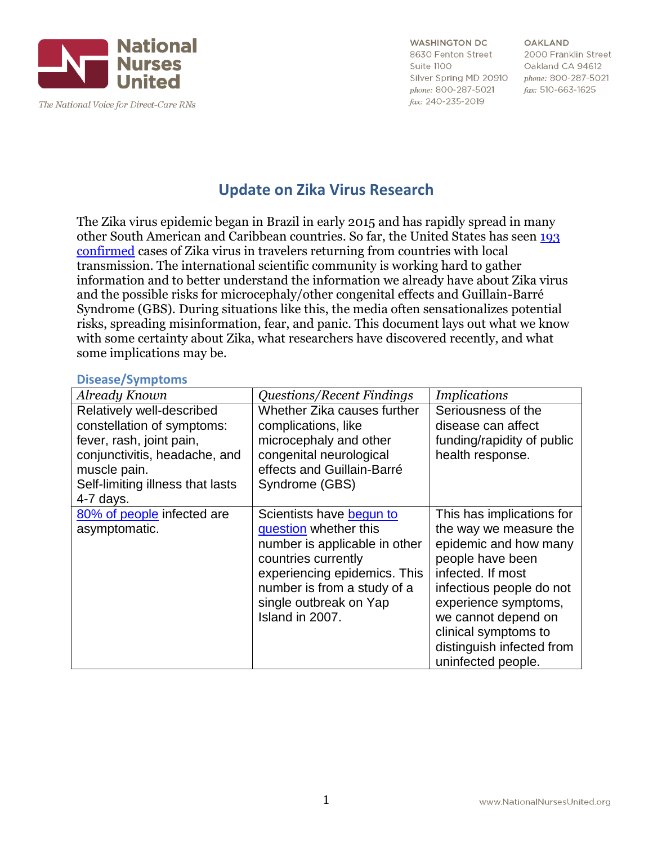

**OAKLAND** 2000 Franklin Street Oakland CA 94612 phone: 800-287-5021 fax: 510-663-1625

# **Update on Zika Virus Research**

The Zika virus epidemic began in Brazil in early 2015 and has rapidly spread in many other South American and Caribbean countries. So far, the United States has seen [193](http://www.cdc.gov/zika/geo/united-states.html)  [confirmed](http://www.cdc.gov/zika/geo/united-states.html) cases of Zika virus in travelers returning from countries with local transmission. The international scientific community is working hard to gather information and to better understand the information we already have about Zika virus and the possible risks for microcephaly/other congenital effects and Guillain-Barré Syndrome (GBS). During situations like this, the media often sensationalizes potential risks, spreading misinformation, fear, and panic. This document lays out what we know with some certainty about Zika, what researchers have discovered recently, and what some implications may be.

#### **Disease/Symptoms**

| Already Known                                                                                                                                                                           | <b>Questions/Recent Findings</b>                                                                                                                                                                                      | <i>Implications</i>                                                                                                                                                                                                                                                         |
|-----------------------------------------------------------------------------------------------------------------------------------------------------------------------------------------|-----------------------------------------------------------------------------------------------------------------------------------------------------------------------------------------------------------------------|-----------------------------------------------------------------------------------------------------------------------------------------------------------------------------------------------------------------------------------------------------------------------------|
| Relatively well-described<br>constellation of symptoms:<br>fever, rash, joint pain,<br>conjunctivitis, headache, and<br>muscle pain.<br>Self-limiting illness that lasts<br>$4-7$ days. | Whether Zika causes further<br>complications, like<br>microcephaly and other<br>congenital neurological<br>effects and Guillain-Barré<br>Syndrome (GBS)                                                               | Seriousness of the<br>disease can affect<br>funding/rapidity of public<br>health response.                                                                                                                                                                                  |
| 80% of people infected are<br>asymptomatic.                                                                                                                                             | Scientists have begun to<br>question whether this<br>number is applicable in other<br>countries currently<br>experiencing epidemics. This<br>number is from a study of a<br>single outbreak on Yap<br>Island in 2007. | This has implications for<br>the way we measure the<br>epidemic and how many<br>people have been<br>infected. If most<br>infectious people do not<br>experience symptoms,<br>we cannot depend on<br>clinical symptoms to<br>distinguish infected from<br>uninfected people. |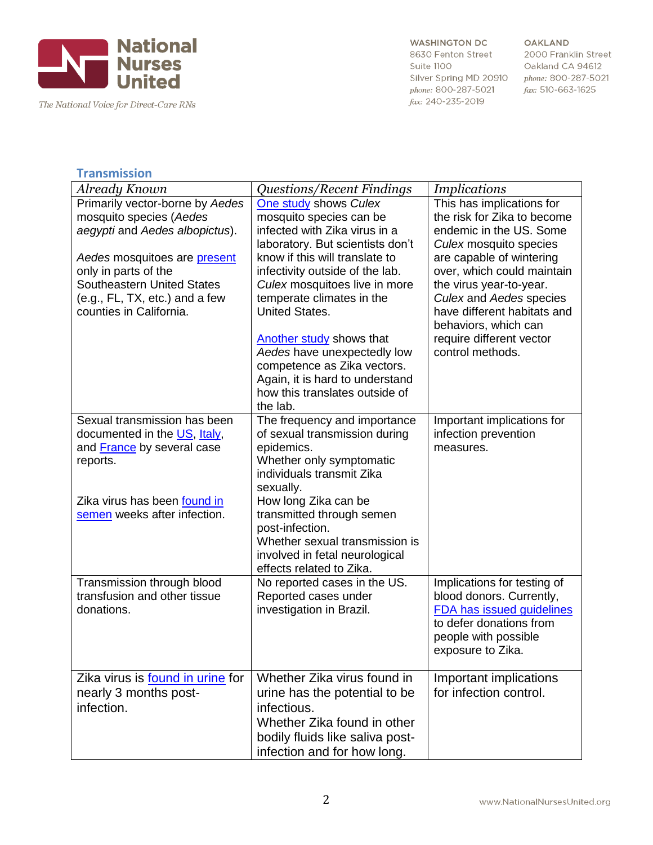

The National Voice for Direct-Care RNs

#### **WASHINGTON DC** 8630 Fenton Street Suite 1100 Silver Spring MD 20910

phone: 800-287-5021

fax: 240-235-2019

#### **OAKLAND**

2000 Franklin Street Oakland CA 94612 phone: 800-287-5021 fax: 510-663-1625

### **Transmission**

| Already Known                           | <i><b>Questions/Recent Findings</b></i>               | <i>Implications</i>            |
|-----------------------------------------|-------------------------------------------------------|--------------------------------|
| Primarily vector-borne by Aedes         | One study shows Culex                                 | This has implications for      |
| mosquito species (Aedes                 | mosquito species can be                               | the risk for Zika to become    |
| aegypti and Aedes albopictus).          | infected with Zika virus in a                         | endemic in the US. Some        |
|                                         | laboratory. But scientists don't                      | Culex mosquito species         |
| Aedes mosquitoes are present            | know if this will translate to                        | are capable of wintering       |
| only in parts of the                    | infectivity outside of the lab.                       | over, which could maintain     |
| <b>Southeastern United States</b>       | Culex mosquitoes live in more                         | the virus year-to-year.        |
| (e.g., FL, TX, etc.) and a few          | temperate climates in the                             | <b>Culex and Aedes species</b> |
| counties in California.                 | <b>United States.</b>                                 | have different habitats and    |
|                                         |                                                       | behaviors, which can           |
|                                         | Another study shows that                              | require different vector       |
|                                         | Aedes have unexpectedly low                           | control methods.               |
|                                         | competence as Zika vectors.                           |                                |
|                                         | Again, it is hard to understand                       |                                |
|                                         | how this translates outside of                        |                                |
|                                         | the lab.                                              |                                |
| Sexual transmission has been            | The frequency and importance                          | Important implications for     |
| documented in the US, Italy,            | of sexual transmission during                         | infection prevention           |
| and France by several case              | epidemics.                                            | measures.                      |
| reports.                                | Whether only symptomatic<br>individuals transmit Zika |                                |
|                                         | sexually.                                             |                                |
| Zika virus has been found in            | How long Zika can be                                  |                                |
| semen weeks after infection.            | transmitted through semen                             |                                |
|                                         | post-infection.                                       |                                |
|                                         | Whether sexual transmission is                        |                                |
|                                         | involved in fetal neurological                        |                                |
|                                         | effects related to Zika.                              |                                |
| Transmission through blood              | No reported cases in the US.                          | Implications for testing of    |
| transfusion and other tissue            | Reported cases under                                  | blood donors. Currently,       |
| donations.                              | investigation in Brazil.                              | FDA has issued guidelines      |
|                                         |                                                       | to defer donations from        |
|                                         |                                                       | people with possible           |
|                                         |                                                       | exposure to Zika.              |
|                                         |                                                       |                                |
| Zika virus is <b>found in urine</b> for | Whether Zika virus found in                           | Important implications         |
| nearly 3 months post-                   | urine has the potential to be                         | for infection control.         |
| infection.                              | infectious.                                           |                                |
|                                         | Whether Zika found in other                           |                                |
|                                         | bodily fluids like saliva post-                       |                                |
|                                         | infection and for how long.                           |                                |
|                                         |                                                       |                                |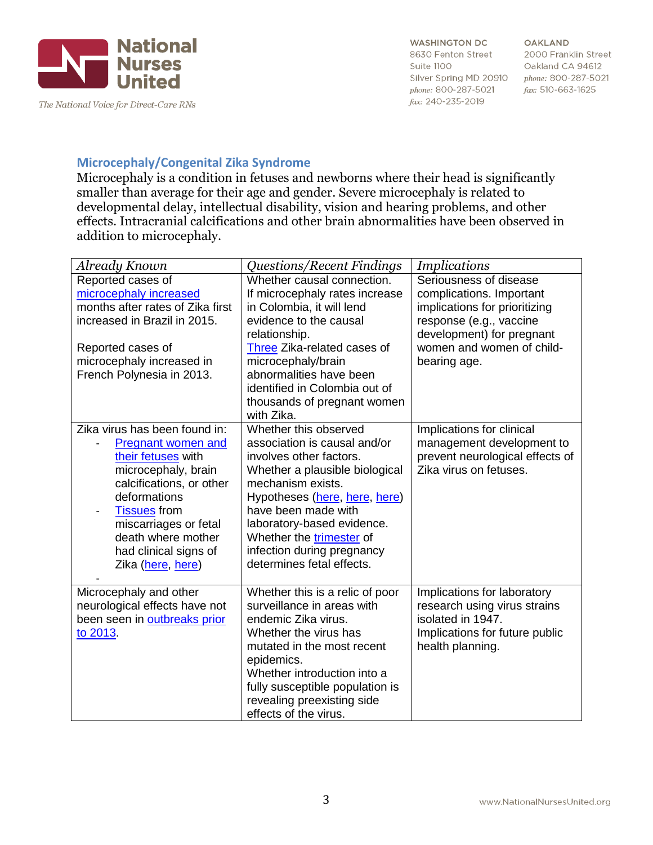

**OAKLAND** 2000 Franklin Street Oakland CA 94612 phone: 800-287-5021 fax: 510-663-1625

# **Microcephaly/Congenital Zika Syndrome**

Microcephaly is a condition in fetuses and newborns where their head is significantly smaller than average for their age and gender. Severe microcephaly is related to developmental delay, intellectual disability, vision and hearing problems, and other effects. Intracranial calcifications and other brain abnormalities have been observed in addition to microcephaly.

| Already Known                                                                                                                                                                                                                                                           | <i><b>Questions/Recent Findings</b></i>                                                                                                                                                                                                                                                                                     | <i>Implications</i>                                                                                                                                                                      |
|-------------------------------------------------------------------------------------------------------------------------------------------------------------------------------------------------------------------------------------------------------------------------|-----------------------------------------------------------------------------------------------------------------------------------------------------------------------------------------------------------------------------------------------------------------------------------------------------------------------------|------------------------------------------------------------------------------------------------------------------------------------------------------------------------------------------|
| Reported cases of<br>microcephaly increased<br>months after rates of Zika first<br>increased in Brazil in 2015.<br>Reported cases of<br>microcephaly increased in<br>French Polynesia in 2013.                                                                          | Whether causal connection.<br>If microcephaly rates increase<br>in Colombia, it will lend<br>evidence to the causal<br>relationship.<br>Three Zika-related cases of<br>microcephaly/brain<br>abnormalities have been<br>identified in Colombia out of<br>thousands of pregnant women<br>with Zika.                          | Seriousness of disease<br>complications. Important<br>implications for prioritizing<br>response (e.g., vaccine<br>development) for pregnant<br>women and women of child-<br>bearing age. |
| Zika virus has been found in:<br><b>Pregnant women and</b><br>their fetuses with<br>microcephaly, brain<br>calcifications, or other<br>deformations<br><b>Tissues</b> from<br>miscarriages or fetal<br>death where mother<br>had clinical signs of<br>Zika (here, here) | Whether this observed<br>association is causal and/or<br>involves other factors.<br>Whether a plausible biological<br>mechanism exists.<br>Hypotheses (here, here, here)<br>have been made with<br>laboratory-based evidence.<br>Whether the <b>trimester</b> of<br>infection during pregnancy<br>determines fetal effects. | Implications for clinical<br>management development to<br>prevent neurological effects of<br>Zika virus on fetuses.                                                                      |
| Microcephaly and other<br>neurological effects have not<br>been seen in outbreaks prior<br>to 2013.                                                                                                                                                                     | Whether this is a relic of poor<br>surveillance in areas with<br>endemic Zika virus.<br>Whether the virus has<br>mutated in the most recent<br>epidemics.<br>Whether introduction into a<br>fully susceptible population is<br>revealing preexisting side<br>effects of the virus.                                          | Implications for laboratory<br>research using virus strains<br>isolated in 1947.<br>Implications for future public<br>health planning.                                                   |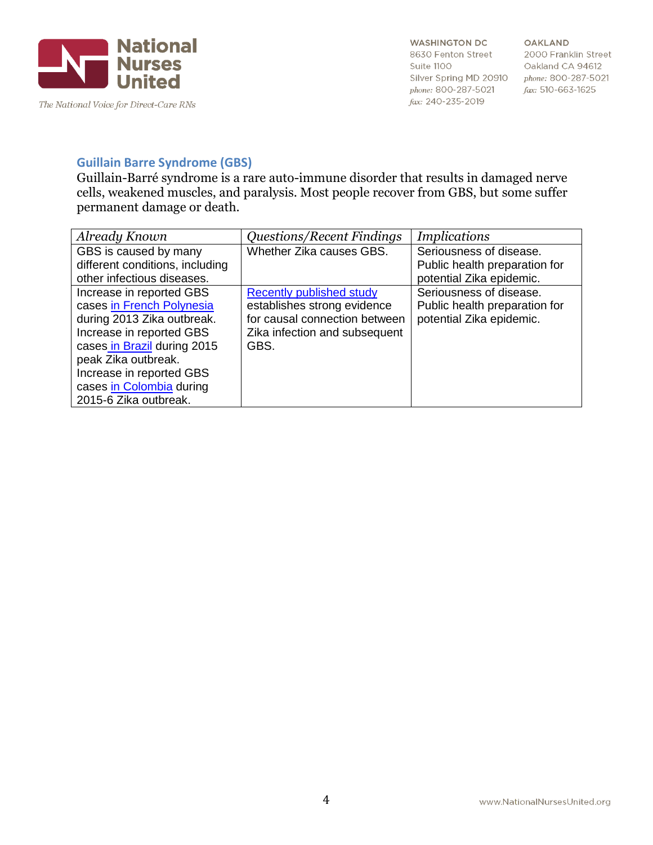

OAKLAND 2000 Franklin Street Oakland CA 94612 phone: 800-287-5021 fax: 510-663-1625

# **Guillain Barre Syndrome (GBS)**

Guillain-Barré syndrome is a rare auto-immune disorder that results in damaged nerve cells, weakened muscles, and paralysis. Most people recover from GBS, but some suffer permanent damage or death.

| Already Known                   | <b>Questions/Recent Findings</b> | <i>Implications</i>           |
|---------------------------------|----------------------------------|-------------------------------|
| GBS is caused by many           | Whether Zika causes GBS.         | Seriousness of disease.       |
| different conditions, including |                                  | Public health preparation for |
| other infectious diseases.      |                                  | potential Zika epidemic.      |
| Increase in reported GBS        | <b>Recently published study</b>  | Seriousness of disease.       |
| cases in French Polynesia       | establishes strong evidence      | Public health preparation for |
| during 2013 Zika outbreak.      | for causal connection between    | potential Zika epidemic.      |
| Increase in reported GBS        | Zika infection and subsequent    |                               |
| cases in Brazil during 2015     | GBS.                             |                               |
| peak Zika outbreak.             |                                  |                               |
| Increase in reported GBS        |                                  |                               |
| cases in Colombia during        |                                  |                               |
| 2015-6 Zika outbreak.           |                                  |                               |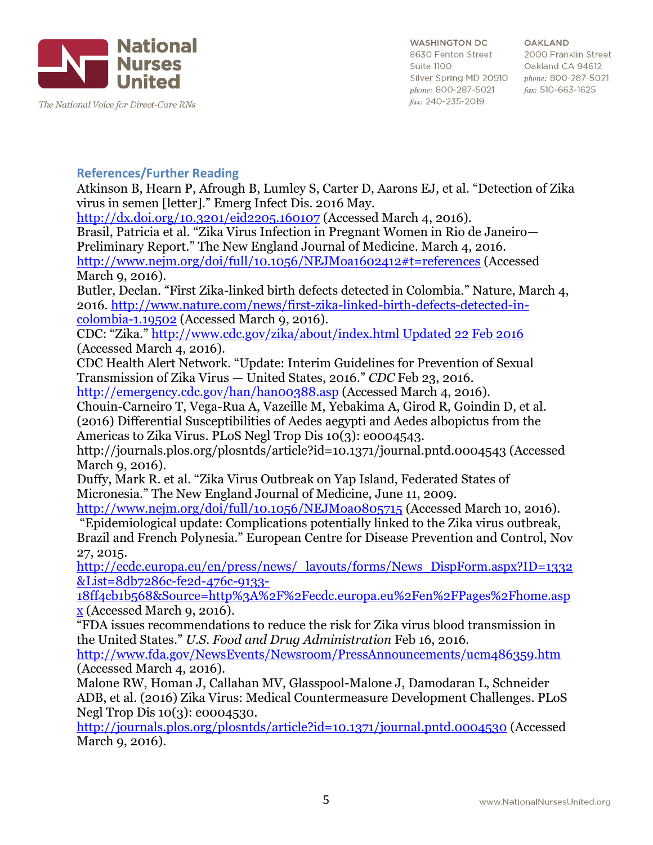

The National Voice for Direct-Care RNs

**WASHINGTON DC** 8630 Fenton Street Suite 1100 Silver Spring MD 20910 phone: 800-287-5021 fax: 240-235-2019

**OAKLAND** 2000 Franklin Street Oakland CA 94612 phone: 800-287-5021 fax: 510-663-1625

### **References/Further Reading**

Atkinson B, Hearn P, Afrough B, Lumley S, Carter D, Aarons EJ, et al. "Detection of Zika virus in semen [letter]." Emerg Infect Dis. 2016 May.

<http://dx.doi.org/10.3201/eid2205.160107> (Accessed March 4, 2016).

Brasil, Patricia et al. "Zika Virus Infection in Pregnant Women in Rio de Janeiro— Preliminary Report." The New England Journal of Medicine. March 4, 2016. <http://www.nejm.org/doi/full/10.1056/NEJMoa1602412#t=references> (Accessed

March 9, 2016).

Butler, Declan. "First Zika-linked birth defects detected in Colombia." Nature, March 4, 2016. [http://www.nature.com/news/first-zika-linked-birth-defects-detected-in](http://www.nature.com/news/first-zika-linked-birth-defects-detected-in-colombia-1.19502)[colombia-1.19502](http://www.nature.com/news/first-zika-linked-birth-defects-detected-in-colombia-1.19502) (Accessed March 9, 2016).

CDC: "Zika." [http://www.cdc.gov/zika/about/index.html Updated 22 Feb 2016](http://www.cdc.gov/zika/about/index.html%20Updated%2022%20Feb%202016) (Accessed March 4, 2016).

CDC Health Alert Network. "Update: Interim Guidelines for Prevention of Sexual Transmission of Zika Virus — United States, 2016." *CDC* Feb 23, 2016.

<http://emergency.cdc.gov/han/han00388.asp> (Accessed March 4, 2016).

Chouin-Carneiro T, Vega-Rua A, Vazeille M, Yebakima A, Girod R, Goindin D, et al. (2016) Differential Susceptibilities of Aedes aegypti and Aedes albopictus from the Americas to Zika Virus. PLoS Negl Trop Dis 10(3): e0004543.

http://journals.plos.org/plosntds/article?id=10.1371/journal.pntd.0004543 (Accessed March 9, 2016).

Duffy, Mark R. et al. "Zika Virus Outbreak on Yap Island, Federated States of Micronesia." The New England Journal of Medicine, June 11, 2009.

<http://www.nejm.org/doi/full/10.1056/NEJMoa0805715> (Accessed March 10, 2016). "Epidemiological update: Complications potentially linked to the Zika virus outbreak, Brazil and French Polynesia." European Centre for Disease Prevention and Control, Nov 27, 2015.

[http://ecdc.europa.eu/en/press/news/\\_layouts/forms/News\\_DispForm.aspx?ID=1332](http://ecdc.europa.eu/en/press/news/_layouts/forms/News_DispForm.aspx?ID=1332&List=8db7286c-fe2d-476c-9133-18ff4cb1b568&Source=http%3A%2F%2Fecdc.europa.eu%2Fen%2FPages%2Fhome.aspx) [&List=8db7286c-fe2d-476c-9133-](http://ecdc.europa.eu/en/press/news/_layouts/forms/News_DispForm.aspx?ID=1332&List=8db7286c-fe2d-476c-9133-18ff4cb1b568&Source=http%3A%2F%2Fecdc.europa.eu%2Fen%2FPages%2Fhome.aspx)

[18ff4cb1b568&Source=http%3A%2F%2Fecdc.europa.eu%2Fen%2FPages%2Fhome.asp](http://ecdc.europa.eu/en/press/news/_layouts/forms/News_DispForm.aspx?ID=1332&List=8db7286c-fe2d-476c-9133-18ff4cb1b568&Source=http%3A%2F%2Fecdc.europa.eu%2Fen%2FPages%2Fhome.aspx) [x](http://ecdc.europa.eu/en/press/news/_layouts/forms/News_DispForm.aspx?ID=1332&List=8db7286c-fe2d-476c-9133-18ff4cb1b568&Source=http%3A%2F%2Fecdc.europa.eu%2Fen%2FPages%2Fhome.aspx) (Accessed March 9, 2016).

"FDA issues recommendations to reduce the risk for Zika virus blood transmission in the United States." *U.S. Food and Drug Administration* Feb 16, 2016.

<http://www.fda.gov/NewsEvents/Newsroom/PressAnnouncements/ucm486359.htm> (Accessed March 4, 2016).

Malone RW, Homan J, Callahan MV, Glasspool-Malone J, Damodaran L, Schneider ADB, et al. (2016) Zika Virus: Medical Countermeasure Development Challenges. PLoS Negl Trop Dis 10(3): e0004530.

<http://journals.plos.org/plosntds/article?id=10.1371/journal.pntd.0004530> (Accessed March 9, 2016).